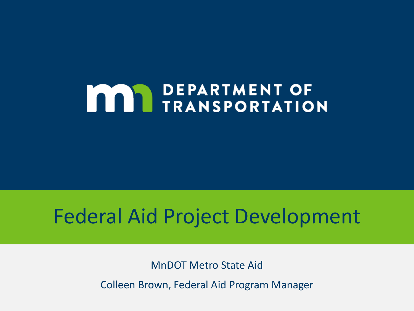# **MAY DEPARTMENT OF THE TRANSPORTATION**

# Federal Aid Project Development

MnDOT Metro State Aid

Colleen Brown, Federal Aid Program Manager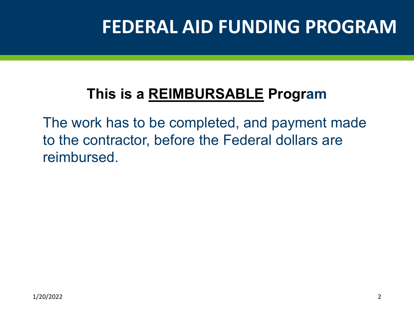# **FEDERAL AID FUNDING PROGRAM**

#### **This is a REIMBURSABLE Program**

The work has to be completed, and payment made to the contractor, before the Federal dollars are reimbursed.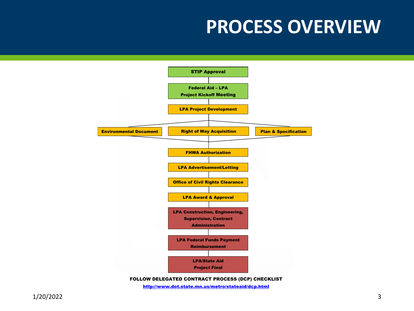## **PROCESS OVERVIEW**



http://www.dot.state.mn.us/metro/stateaid/dcp.html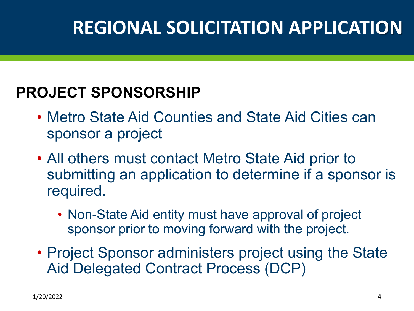# **REGIONAL SOLICITATION APPLICATION**

#### **PROJECT SPONSORSHIP**

- Metro State Aid Counties and State Aid Cities can sponsor a project
- All others must contact Metro State Aid prior to submitting an application to determine if a sponsor is required.
	- Non-State Aid entity must have approval of project sponsor prior to moving forward with the project.
- Project Sponsor administers project using the State Aid Delegated Contract Process (DCP)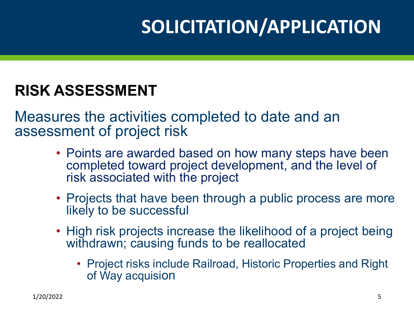# **SOLICITATION/APPLICATION**

#### **RISK ASSESSMENT**

Measures the activities completed to date and an assessment of project risk

- Points are awarded based on how many steps have been completed toward project development, and the level of risk associated with the project
- Projects that have been through a public process are more likely to be successful
- High risk projects increase the likelihood of a project being withdrawn; causing funds to be reallocated
	- Project risks include Railroad, Historic Properties and Right of Way acquision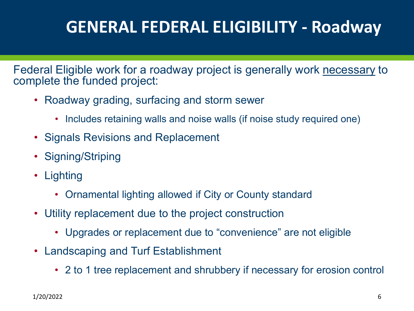### **GENERAL FEDERAL ELIGIBILITY - Roadway**

Federal Eligible work for a roadway project is generally work necessary to complete the funded project:

- Roadway grading, surfacing and storm sewer
	- Includes retaining walls and noise walls (if noise study required one)
- Signals Revisions and Replacement
- Signing/Striping
- Lighting
	- Ornamental lighting allowed if City or County standard
- Utility replacement due to the project construction
	- Upgrades or replacement due to "convenience" are not eligible
- Landscaping and Turf Establishment
	- 2 to 1 tree replacement and shrubbery if necessary for erosion control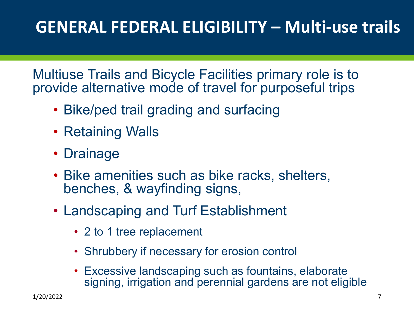### **GENERAL FEDERAL ELIGIBILITY – Multi-use trails**

Multiuse Trails and Bicycle Facilities primary role is to provide alternative mode of travel for purposeful trips

- Bike/ped trail grading and surfacing
- Retaining Walls
- Drainage
- Bike amenities such as bike racks, shelters, benches, & wayfinding signs,
- Landscaping and Turf Establishment
	- 2 to 1 tree replacement
	- Shrubbery if necessary for erosion control
	- Excessive landscaping such as fountains, elaborate signing, irrigation and perennial gardens are not eligible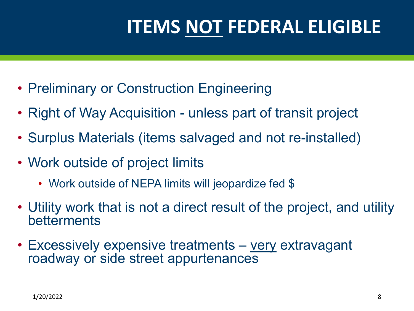# **ITEMS NOT FEDERAL ELIGIBLE**

- Preliminary or Construction Engineering
- Right of Way Acquisition unless part of transit project
- Surplus Materials (items salvaged and not re-installed)
- Work outside of project limits
	- Work outside of NEPA limits will jeopardize fed \$
- Utility work that is not a direct result of the project, and utility betterments
- Excessively expensive treatments very extravagant roadway or side street appurtenances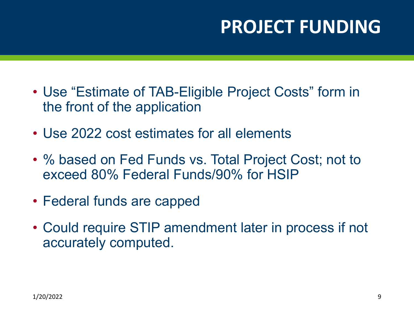# **PROJECT FUNDING**

- Use "Estimate of TAB-Eligible Project Costs" form in the front of the application
- Use 2022 cost estimates for all elements
- % based on Fed Funds vs. Total Project Cost; not to exceed 80% Federal Funds/90% for HSIP
- Federal funds are capped
- Could require STIP amendment later in process if not accurately computed.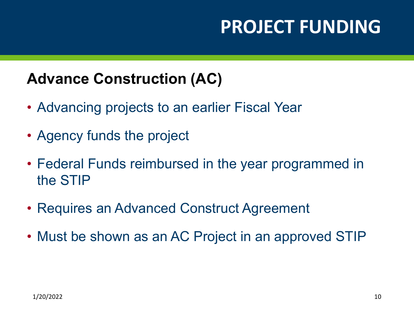# **PROJECT FUNDING**

#### **Advance Construction (AC)**

- Advancing projects to an earlier Fiscal Year
- Agency funds the project
- Federal Funds reimbursed in the year programmed in the STIP
- Requires an Advanced Construct Agreement
- Must be shown as an AC Project in an approved STIP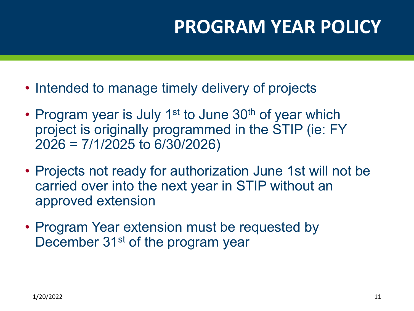# **PROGRAM YEAR POLICY**

- Intended to manage timely delivery of projects
- Program year is July 1<sup>st</sup> to June 30<sup>th</sup> of year which project is originally programmed in the STIP (ie: FY 2026 = 7/1/2025 to 6/30/2026)
- Projects not ready for authorization June 1st will not be carried over into the next year in STIP without an approved extension
- Program Year extension must be requested by December 31<sup>st</sup> of the program year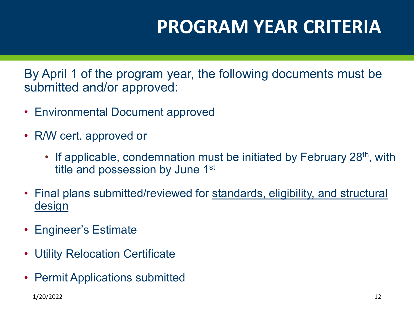# **PROGRAM YEAR CRITERIA**

By April 1 of the program year, the following documents must be submitted and/or approved:

- Environmental Document approved
- R/W cert. approved or
	- If applicable, condemnation must be initiated by February 28<sup>th</sup>, with title and possession by June 1<sup>st</sup>
- Final plans submitted/reviewed for standards, eligibility, and structural **design**
- Engineer's Estimate
- Utility Relocation Certificate
- **Permit Applications submitted**

1/20/2022 12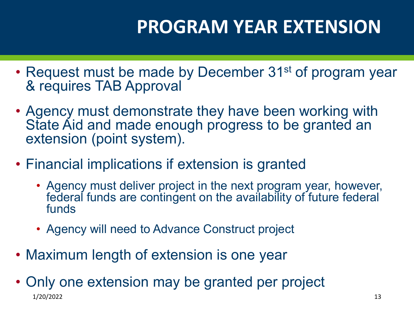# **PROGRAM YEAR EXTENSION**

- Request must be made by December 31<sup>st</sup> of program year & requires TAB Approval
- Agency must demonstrate they have been working with State Aid and made enough progress to be granted an extension (point system).
- Financial implications if extension is granted
	- Agency must deliver project in the next program year, however, federal funds are contingent on the availability of future federal funds
	- Agency will need to Advance Construct project
- Maximum length of extension is one year
- Only one extension may be granted per project 1/20/2022 13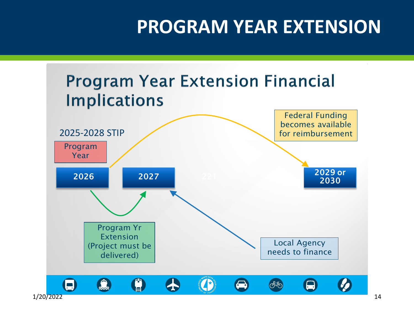# **PROGRAM YEAR EXTENSION**

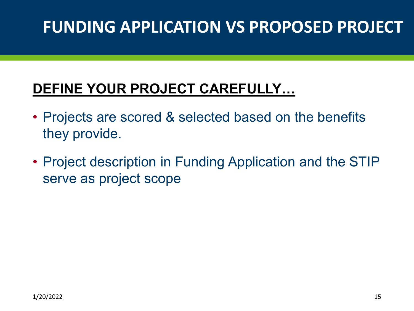#### **DEFINE YOUR PROJECT CAREFULLY…**

- Projects are scored & selected based on the benefits they provide.
- Project description in Funding Application and the STIP serve as project scope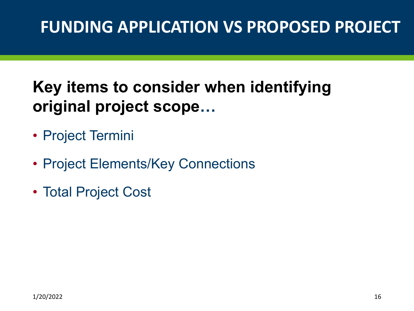### **Key items to consider when identifying original project scope…**

- Project Termini
- Project Elements/Key Connections
- Total Project Cost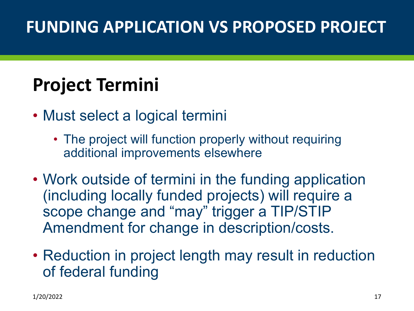# **Project Termini**

- Must select a logical termini
	- The project will function properly without requiring additional improvements elsewhere
- Work outside of termini in the funding application (including locally funded projects) will require a scope change and "may" trigger a TIP/STIP Amendment for change in description/costs.
- Reduction in project length may result in reduction of federal funding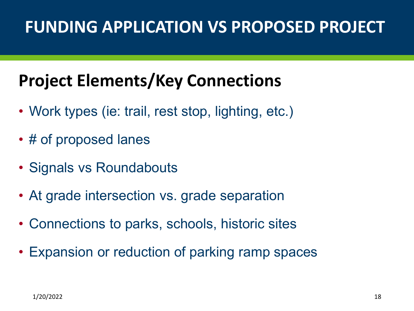# **Project Elements/Key Connections**

- Work types (ie: trail, rest stop, lighting, etc.)
- # of proposed lanes
- Signals vs Roundabouts
- At grade intersection vs. grade separation
- Connections to parks, schools, historic sites
- Expansion or reduction of parking ramp spaces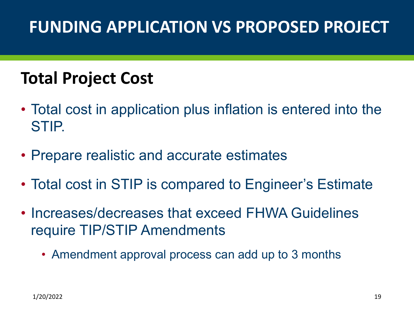### **Total Project Cost**

- Total cost in application plus inflation is entered into the STIP.
- Prepare realistic and accurate estimates
- Total cost in STIP is compared to Engineer's Estimate
- Increases/decreases that exceed FHWA Guidelines require TIP/STIP Amendments
	- Amendment approval process can add up to 3 months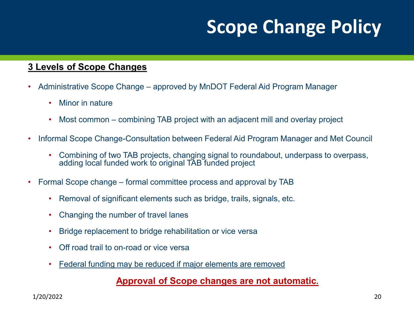# **Scope Change Policy**

#### **3 Levels of Scope Changes**

- Administrative Scope Change approved by MnDOT Federal Aid Program Manager
	- Minor in nature
	- Most common combining TAB project with an adjacent mill and overlay project
- Informal Scope Change-Consultation between Federal Aid Program Manager and Met Council
	- Combining of two TAB projects, changing signal to roundabout, underpass to overpass, adding local funded work to original TAB funded project
- Formal Scope change formal committee process and approval by TAB
	- Removal of significant elements such as bridge, trails, signals, etc.
	- Changing the number of travel lanes
	- Bridge replacement to bridge rehabilitation or vice versa
	- Off road trail to on-road or vice versa
	- Federal funding may be reduced if major elements are removed

#### **Approval of Scope changes are not automatic.**